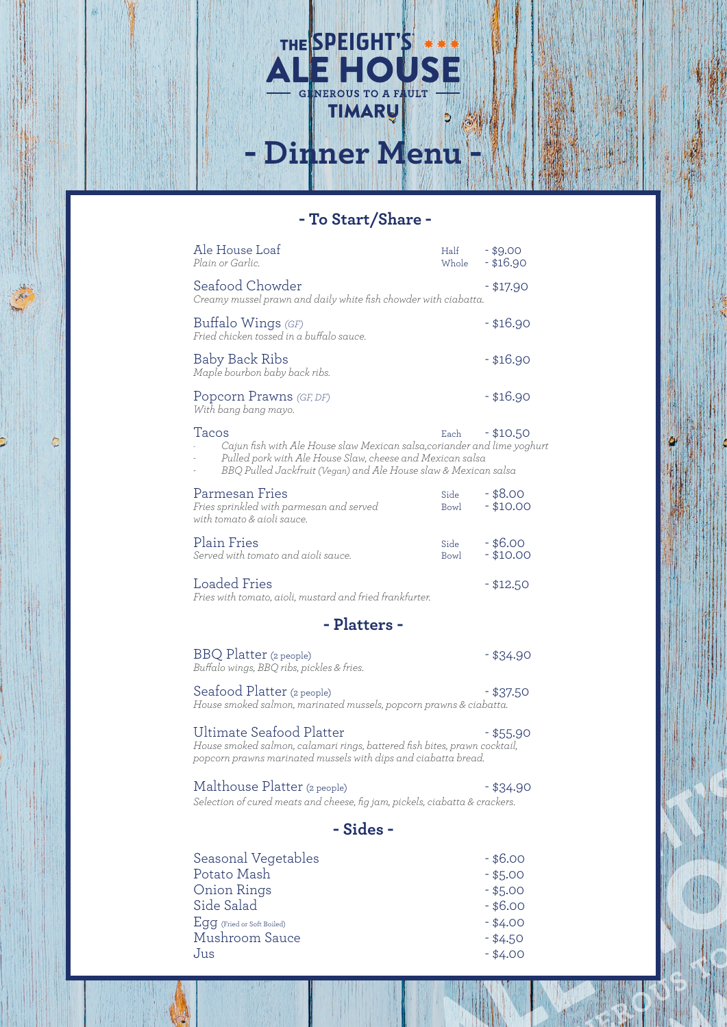## **- To Start/Share -**

Dinner Menu

THE SPEIGHT'S

|              | Ale House Loaf<br>Plain or Garlic.                                                                                                                                                                                | Half<br>Whole       | $-$ \$9.00<br>$-$ \$16.90 |  |
|--------------|-------------------------------------------------------------------------------------------------------------------------------------------------------------------------------------------------------------------|---------------------|---------------------------|--|
|              | Seafood Chowder<br>Creamy mussel prawn and daily white fish chowder with ciabatta.                                                                                                                                |                     | - \$17.90                 |  |
|              | Buffalo Wings (GF)<br>Fried chicken tossed in a buffalo sauce.                                                                                                                                                    |                     | $-$ \$16.90               |  |
|              | Baby Back Ribs<br>Maple bourbon baby back ribs.                                                                                                                                                                   |                     | $-$ \$16.90               |  |
|              | Popcorn Prawns (GF, DF)<br>With bang bang mayo.                                                                                                                                                                   |                     | $-$ \$16.90               |  |
|              | Tacos<br>Cajun fish with Ale House slaw Mexican salsa, coriander and lime yoghurt<br>Pulled pork with Ale House Slaw, cheese and Mexican salsa<br>BBQ Pulled Jackfruit (Vegan) and Ale House slaw & Mexican salsa | Each                | $- $10.50$                |  |
|              | Parmesan Fries<br>Fries sprinkled with parmesan and served<br>with tomato & aioli sauce.                                                                                                                          | Side<br>Bowl        | $-$ \$8.00<br>$- $10.00$  |  |
|              | Plain Fries<br>Served with tomato and aioli sauce.                                                                                                                                                                | Side<br><b>Bowl</b> | $-$ \$6.00<br>$- $10.00$  |  |
|              | Loaded Fries<br>Fries with tomato, aioli, mustard and fried frankfurter.                                                                                                                                          |                     | $- $12.50$                |  |
| - Platters - |                                                                                                                                                                                                                   |                     |                           |  |
|              | BBQ Platter (2 people)<br>Buffalo wings, BBQ ribs, pickles & fries.                                                                                                                                               |                     | - \$34.90                 |  |
|              | Seafood Platter (2 people)<br>House smoked salmon, marinated mussels, popcorn prawns & ciabatta.                                                                                                                  |                     | $-$ \$37.50               |  |
|              | <b>Ultimate Seafood Platter</b><br>House smoked salmon, calamari rings, battered fish bites, prawn cocktail,<br>popcorn prawns marinated mussels with dips and ciabatta bread.                                    |                     | - \$55.90                 |  |
|              | Malthouse Platter (2 people)<br>Selection of cured meats and cheese, fig jam, pickels, ciabatta & crackers.                                                                                                       |                     | - \$34.90                 |  |
| - Sides -    |                                                                                                                                                                                                                   |                     |                           |  |
|              | Seasonal Vegetables                                                                                                                                                                                               |                     | $-$ \$6.00                |  |
|              | Potato Mash                                                                                                                                                                                                       |                     | $-$ \$5.00                |  |
|              | Onion Rings                                                                                                                                                                                                       |                     | $-$ \$5.00                |  |
|              | Side Salad                                                                                                                                                                                                        |                     | $-$ \$6.00                |  |
|              | $Egg$ (Fried or Soft Boiled)                                                                                                                                                                                      |                     | $- $4.00$                 |  |
|              | Mushroom Sauce                                                                                                                                                                                                    |                     | $- $4.50$                 |  |
|              | Jus                                                                                                                                                                                                               |                     | $-$ \$4.00                |  |
|              |                                                                                                                                                                                                                   |                     |                           |  |

 $\bullet$